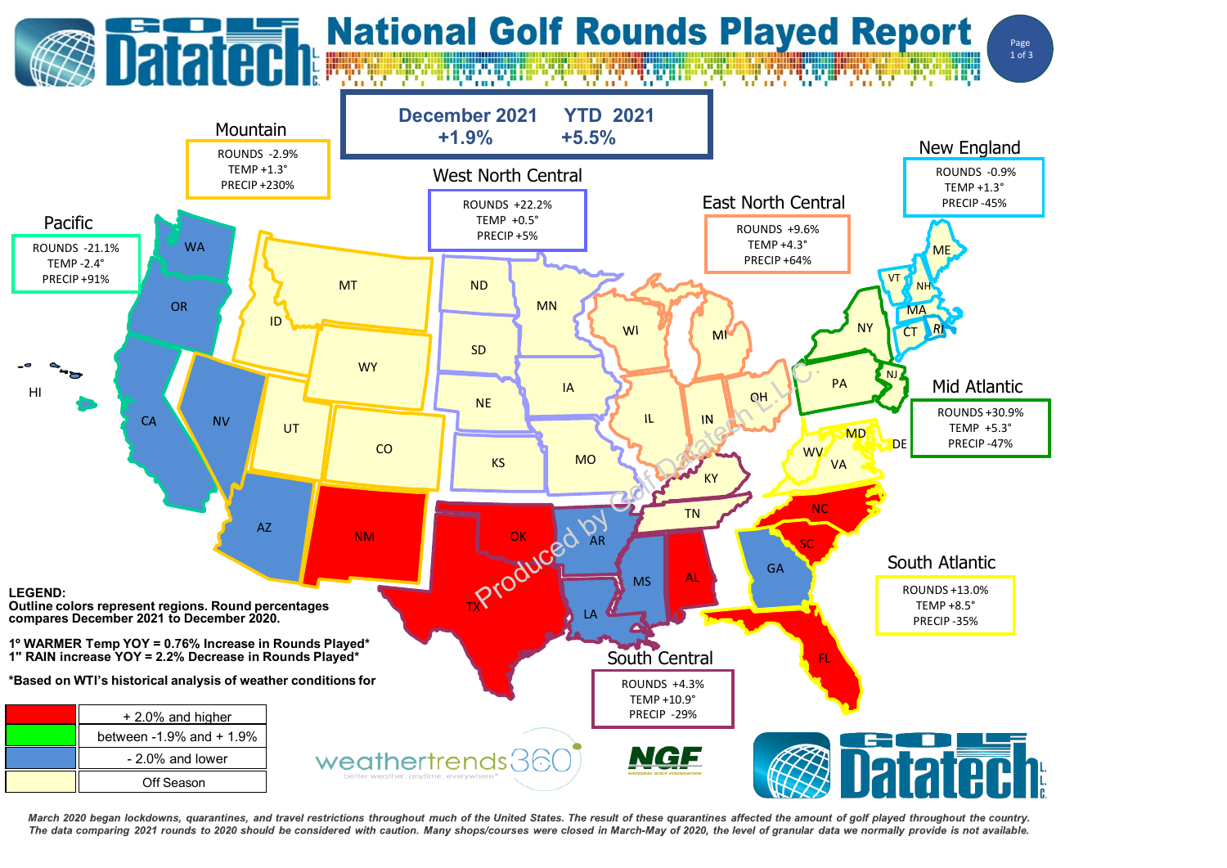

March 2020 began lockdowns, quarantines, and travel restrictions throughout much of the United States. The result of these quarantines affected the amount of golf played throughout the country. The data comparing 2021 rounds to 2020 should be considered with caution. Many shops/courses were closed in March-May of 2020, the level of granular data we normally provide is not available.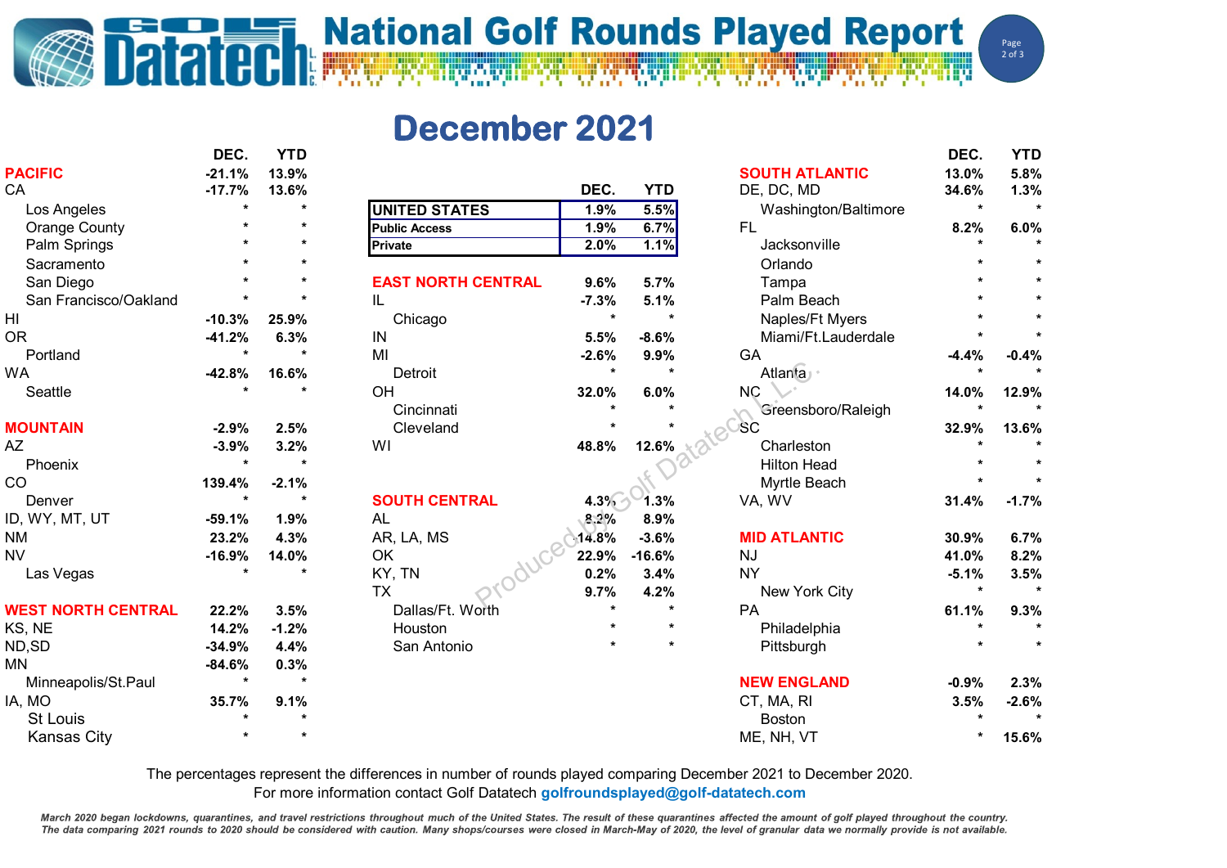## **ESCALE TRANSPORT NATIONAl Colf Rounds Played Report**

Page  $2$  of  $3$ 

## **December 2021**

|                           | DEC.     | YTD     |                           |         |            |                       | DEC.    | YTD     |
|---------------------------|----------|---------|---------------------------|---------|------------|-----------------------|---------|---------|
| <b>PACIFIC</b>            | $-21.1%$ | 13.9%   |                           |         |            | <b>SOUTH ATLANTIC</b> | 13.0%   | 5.8%    |
| CA                        | $-17.7%$ | 13.6%   |                           | DEC.    | <b>YTD</b> | DE, DC, MD            | 34.6%   | 1.3%    |
| Los Angeles               |          | $\star$ | <b>UNITED STATES</b>      | 1.9%    | 5.5%       | Washington/Baltimore  | $\star$ |         |
| <b>Orange County</b>      |          |         | <b>Public Access</b>      | 1.9%    | 6.7%       | <b>FL</b>             | 8.2%    | 6.0%    |
| Palm Springs              |          | $\star$ | Private                   | 2.0%    | 1.1%       | Jacksonville          |         |         |
| Sacramento                |          |         |                           |         |            | Orlando               |         |         |
| San Diego                 |          |         | <b>EAST NORTH CENTRAL</b> | 9.6%    | 5.7%       | Tampa                 |         |         |
| San Francisco/Oakland     |          |         | IL                        | $-7.3%$ | 5.1%       | Palm Beach            |         |         |
| $\mathsf{H}\mathsf{I}$    | $-10.3%$ | 25.9%   | Chicago                   | $\star$ |            | Naples/Ft Myers       |         |         |
| <b>OR</b>                 | $-41.2%$ | 6.3%    | IN                        | 5.5%    | $-8.6%$    | Miami/Ft.Lauderdale   |         |         |
| Portland                  |          | $\star$ | MI                        | $-2.6%$ | 9.9%       | GA                    | $-4.4%$ | $-0.4%$ |
| <b>WA</b>                 | $-42.8%$ | 16.6%   | Detroit                   | $\star$ | $\star$    | <b>Atlanta</b>        | $\star$ |         |
| Seattle                   |          |         | OH                        | 32.0%   | 6.0%       | <b>NC</b>             | 14.0%   | 12.9%   |
|                           |          |         | Cincinnati                |         |            | Greensboro/Raleigh    | $\star$ |         |
| <b>MOUNTAIN</b>           | $-2.9%$  | 2.5%    | Cleveland                 |         |            | <b>SC</b>             | 32.9%   | 13.6%   |
| AZ                        | $-3.9%$  | 3.2%    | WI                        | 48.8%   | 12.6%      | Charleston            |         |         |
| Phoenix                   |          | $\star$ |                           |         |            | <b>Hilton Head</b>    |         |         |
| CO                        | 139.4%   | $-2.1%$ |                           |         |            | Myrtle Beach          |         |         |
| Denver                    | $\star$  | $\star$ | <b>SOUTH CENTRAL</b>      | $4.3\%$ | 1.3%       | VA, WV                | 31.4%   | $-1.7%$ |
| ID, WY, MT, UT            | $-59.1%$ | 1.9%    | <b>AL</b>                 | 8.2%    | 8.9%       |                       |         |         |
| <b>NM</b>                 | 23.2%    | 4.3%    | AR, LA, MS                | 14.8%   | $-3.6%$    | <b>MID ATLANTIC</b>   | 30.9%   | 6.7%    |
| <b>NV</b>                 | $-16.9%$ | 14.0%   | OK                        | 22.9%   | $-16.6%$   | <b>NJ</b>             | 41.0%   | 8.2%    |
| Las Vegas                 |          |         | KY, TN                    | 0.2%    | 3.4%       | <b>NY</b>             | $-5.1%$ | 3.5%    |
|                           |          |         | <b>TX</b>                 | 9.7%    | 4.2%       | New York City         | $\star$ |         |
| <b>WEST NORTH CENTRAL</b> | 22.2%    | 3.5%    | Dallas/Ft. Worth          |         | $\star$    | PA                    | 61.1%   | 9.3%    |
| KS, NE                    | 14.2%    | $-1.2%$ | Houston                   |         | $\star$    | Philadelphia          | $\star$ | $\star$ |
| ND, SD                    | $-34.9%$ | 4.4%    | San Antonio               |         |            | Pittsburgh            |         |         |
| <b>MN</b>                 | $-84.6%$ | 0.3%    |                           |         |            |                       |         |         |
| Minneapolis/St.Paul       | $\star$  | $\star$ |                           |         |            | <b>NEW ENGLAND</b>    | $-0.9%$ | 2.3%    |
| IA, MO                    | 35.7%    | 9.1%    |                           |         |            | CT, MA, RI            | 3.5%    | $-2.6%$ |
| <b>St Louis</b>           |          |         |                           |         |            | <b>Boston</b>         | $\star$ |         |
| <b>Kansas City</b>        |          | $\star$ |                           |         |            | ME, NH, VT            | $\star$ | 15.6%   |

The percentages represent the differences in number of rounds played comparing December 2021 to December 2020.

For more information contact Golf Datatech **golfroundsplayed@golf-datatech.com** 

March 2020 began lockdowns, quarantines, and travel restrictions throughout much of the United States. The result of these quarantines affected the amount of golf played throughout the country. The data comparing 2021 rounds to 2020 should be considered with caution. Many shops/courses were closed in March-May of 2020, the level of granular data we normally provide is not available.